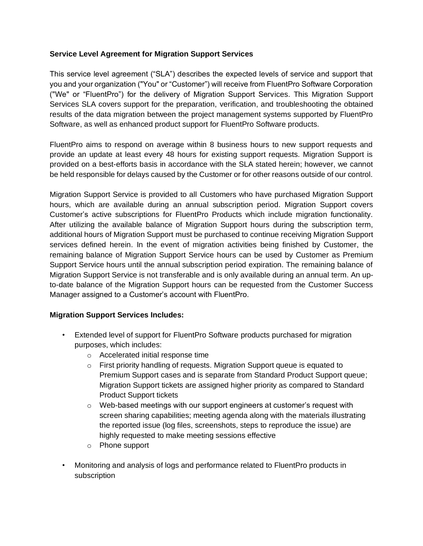## **Service Level Agreement for Migration Support Services**

This service level agreement ("SLA") describes the expected levels of service and support that you and your organization ("You" or "Customer") will receive from FluentPro Software Corporation ("We" or "FluentPro") for the delivery of Migration Support Services. This Migration Support Services SLA covers support for the preparation, verification, and troubleshooting the obtained results of the data migration between the project management systems supported by FluentPro Software, as well as enhanced product support for FluentPro Software products.

FluentPro aims to respond on average within 8 business hours to new support requests and provide an update at least every 48 hours for existing support requests. Migration Support is provided on a best-efforts basis in accordance with the SLA stated herein; however, we cannot be held responsible for delays caused by the Customer or for other reasons outside of our control.

Migration Support Service is provided to all Customers who have purchased Migration Support hours, which are available during an annual subscription period. Migration Support covers Customer's active subscriptions for FluentPro Products which include migration functionality. After utilizing the available balance of Migration Support hours during the subscription term, additional hours of Migration Support must be purchased to continue receiving Migration Support services defined herein. In the event of migration activities being finished by Customer, the remaining balance of Migration Support Service hours can be used by Customer as Premium Support Service hours until the annual subscription period expiration. The remaining balance of Migration Support Service is not transferable and is only available during an annual term. An upto-date balance of the Migration Support hours can be requested from the Customer Success Manager assigned to a Customer's account with FluentPro.

### **Migration Support Services Includes:**

- Extended level of support for FluentPro Software products purchased for migration purposes, which includes:
	- o Accelerated initial response time
	- o First priority handling of requests. Migration Support queue is equated to Premium Support cases and is separate from Standard Product Support queue; Migration Support tickets are assigned higher priority as compared to Standard Product Support tickets
	- $\circ$  Web-based meetings with our support engineers at customer's request with screen sharing capabilities; meeting agenda along with the materials illustrating the reported issue (log files, screenshots, steps to reproduce the issue) are highly requested to make meeting sessions effective
	- o Phone support
- Monitoring and analysis of logs and performance related to FluentPro products in subscription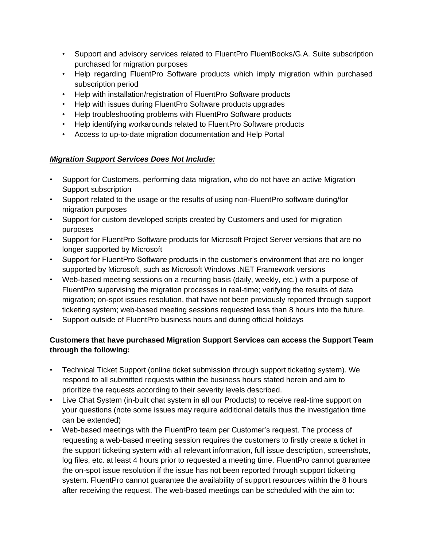- Support and advisory services related to FluentPro FluentBooks/G.A. Suite subscription purchased for migration purposes
- Help regarding FluentPro Software products which imply migration within purchased subscription period
- Help with installation/registration of FluentPro Software products
- Help with issues during FluentPro Software products upgrades
- Help troubleshooting problems with FluentPro Software products
- Help identifying workarounds related to FluentPro Software products
- Access to up-to-date migration documentation and Help Portal

# *Migration Support Services Does Not Include:*

- Support for Customers, performing data migration, who do not have an active Migration Support subscription
- Support related to the usage or the results of using non-FluentPro software during/for migration purposes
- Support for custom developed scripts created by Customers and used for migration purposes
- Support for FluentPro Software products for Microsoft Project Server versions that are no longer supported by Microsoft
- Support for FluentPro Software products in the customer's environment that are no longer supported by Microsoft, such as Microsoft Windows .NET Framework versions
- Web-based meeting sessions on a recurring basis (daily, weekly, etc.) with a purpose of FluentPro supervising the migration processes in real-time; verifying the results of data migration; on-spot issues resolution, that have not been previously reported through support ticketing system; web-based meeting sessions requested less than 8 hours into the future.
- Support outside of FluentPro business hours and during official holidays

# **Customers that have purchased Migration Support Services can access the Support Team through the following:**

- Technical Ticket Support (online ticket submission through support ticketing system). We respond to all submitted requests within the business hours stated herein and aim to prioritize the requests according to their severity levels described.
- Live Chat System (in-built chat system in all our Products) to receive real-time support on your questions (note some issues may require additional details thus the investigation time can be extended)
- Web-based meetings with the FluentPro team per Customer's request. The process of requesting a web-based meeting session requires the customers to firstly create a ticket in the support ticketing system with all relevant information, full issue description, screenshots, log files, etc. at least 4 hours prior to requested a meeting time. FluentPro cannot guarantee the on-spot issue resolution if the issue has not been reported through support ticketing system. FluentPro cannot guarantee the availability of support resources within the 8 hours after receiving the request. The web-based meetings can be scheduled with the aim to: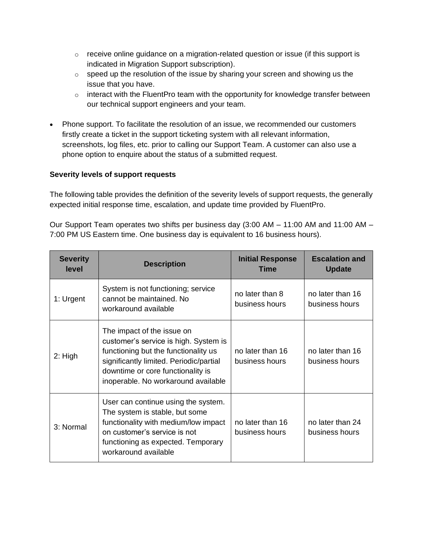- $\circ$  receive online guidance on a migration-related question or issue (if this support is indicated in Migration Support subscription).
- $\circ$  speed up the resolution of the issue by sharing your screen and showing us the issue that you have.
- o interact with the FluentPro team with the opportunity for knowledge transfer between our technical support engineers and your team.
- Phone support. To facilitate the resolution of an issue, we recommended our customers firstly create a ticket in the support ticketing system with all relevant information, screenshots, log files, etc. prior to calling our Support Team. A customer can also use a phone option to enquire about the status of a submitted request.

## **Severity levels of support requests**

The following table provides the definition of the severity levels of support requests, the generally expected initial response time, escalation, and update time provided by FluentPro.

Our Support Team operates two shifts per business day (3:00 AM – 11:00 AM and 11:00 AM – 7:00 PM US Eastern time. One business day is equivalent to 16 business hours).

| <b>Severity</b><br>level | <b>Description</b>                                                                                                                                                                                                                 | <b>Initial Response</b><br>Time    | <b>Escalation and</b><br><b>Update</b> |
|--------------------------|------------------------------------------------------------------------------------------------------------------------------------------------------------------------------------------------------------------------------------|------------------------------------|----------------------------------------|
| 1: Urgent                | System is not functioning; service<br>cannot be maintained. No<br>workaround available                                                                                                                                             | no later than 8<br>business hours  | no later than 16<br>business hours     |
| $2:$ High                | The impact of the issue on<br>customer's service is high. System is<br>functioning but the functionality us<br>significantly limited. Periodic/partial<br>downtime or core functionality is<br>inoperable. No workaround available | no later than 16<br>business hours | no later than 16<br>business hours     |
| 3: Normal                | User can continue using the system.<br>The system is stable, but some<br>functionality with medium/low impact<br>on customer's service is not<br>functioning as expected. Temporary<br>workaround available                        | no later than 16<br>business hours | no later than 24<br>business hours     |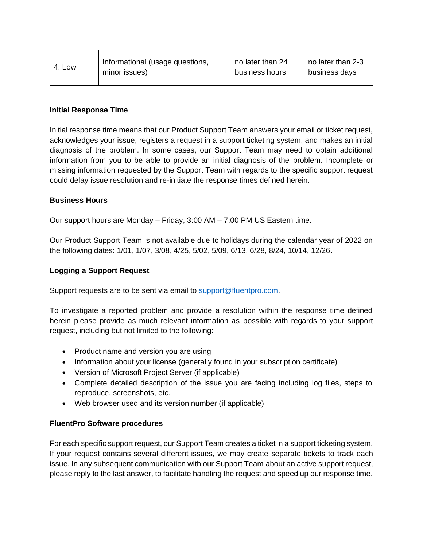| 4: Low | Informational (usage questions, | no later than 24 | no later than 2-3 |
|--------|---------------------------------|------------------|-------------------|
|        | minor issues)                   | business hours   | business days     |

### **Initial Response Time**

Initial response time means that our Product Support Team answers your email or ticket request, acknowledges your issue, registers a request in a support ticketing system, and makes an initial diagnosis of the problem. In some cases, our Support Team may need to obtain additional information from you to be able to provide an initial diagnosis of the problem. Incomplete or missing information requested by the Support Team with regards to the specific support request could delay issue resolution and re-initiate the response times defined herein.

#### **Business Hours**

Our support hours are Monday – Friday, 3:00 AM – 7:00 PM US Eastern time.

Our Product Support Team is not available due to holidays during the calendar year of 2022 on the following dates: 1/01, 1/07, 3/08, 4/25, 5/02, 5/09, 6/13, 6/28, 8/24, 10/14, 12/26.

### **Logging a Support Request**

Support requests are to be sent via email to [support@fluentpro.com.](mailto:support@fluentpro.com)

To investigate a reported problem and provide a resolution within the response time defined herein please provide as much relevant information as possible with regards to your support request, including but not limited to the following:

- Product name and version you are using
- Information about your license (generally found in your subscription certificate)
- Version of Microsoft Project Server (if applicable)
- Complete detailed description of the issue you are facing including log files, steps to reproduce, screenshots, etc.
- Web browser used and its version number (if applicable)

#### **FluentPro Software procedures**

For each specific support request, our Support Team creates a ticket in a support ticketing system. If your request contains several different issues, we may create separate tickets to track each issue. In any subsequent communication with our Support Team about an active support request, please reply to the last answer, to facilitate handling the request and speed up our response time.